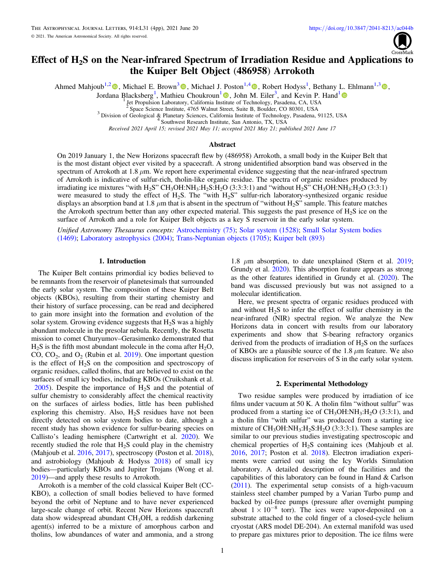

# Effect of H2S on the Near-infrared Spectrum of Irradiation Residue and Applications to the Kuiper Belt Object (486958) Arrokoth

Ahmed Mahjoub<sup>1,[2](https://orcid.org/0000-0003-1229-5208)</sup><sup>0</sup>, Michael E. Brown<sup>[3](https://orcid.org/0000-0002-2745-3240)</sup><sup>0</sup>, Michael J. Poston<sup>1,[4](https://orcid.org/0000-0001-5113-1017)</sup><sup>0</sup>, Robert Hodyss<sup>1</sup>, Bethany L. Ehlmann<sup>1,3</sup><sup>0</sup>,

Jordana Blacksberg<sup>[1](https://orcid.org/0000-0002-3225-9426)</sup>[,](https://orcid.org/0000-0001-7447-9139) Mathieu Choukroun<sup>1</sup><sup>0</sup>, John M. Eiler<sup>3</sup>, and Kevin P. Hand<sup>1</sup>

1. Jet Propulsion Laboratory, California Ins[titu](https://orcid.org/0000-0001-7447-9139)te of Technology, Pasadena, CA, USA<br>
<sup>2</sup> Space Science Institute, 4765 Walnut Street, Suite B, Boulder, CO 80301, USA

<sup>3</sup> Division of Geological & Planetary Sciences, California Institute of Technology, Pasadena, 91125, USA  $4^4$  Southwest Research Institute, San Antonio, TX, USA

Received 2021 April 15; revised 2021 May 11; accepted 2021 May 21; published 2021 June 17

#### Abstract

On 2019 January 1, the New Horizons spacecraft flew by (486958) Arrokoth, a small body in the Kuiper Belt that is the most distant object ever visited by a spacecraft. A strong unidentified absorption band was observed in the spectrum of Arrokoth at 1.8  $\mu$ m. We report here experimental evidence suggesting that the near-infrared spectrum of Arrokoth is indicative of sulfur-rich, tholin-like organic residue. The spectra of organic residues produced by irradiating ice mixtures "with  $H_2S$ " CH<sub>3</sub>OH:NH<sub>3</sub>:H<sub>2</sub>S:H<sub>2</sub>O (3:3:3:1) and "without H<sub>2</sub>S" CH<sub>3</sub>OH:NH<sub>3</sub>:H<sub>2</sub>O (3:3:1) were measured to study the effect of H<sub>2</sub>S. The "with H<sub>2</sub>S" sulfur-rich laboratory-synthesized organic residue displays an absorption band at 1.8  $\mu$ m that is absent in the spectrum of "without H<sub>2</sub>S" sample. This feature matches the Arrokoth spectrum better than any other expected material. This suggests the past presence of H<sub>2</sub>S ice on the surface of Arrokoth and a role for Kuiper Belt objects as a key S reservoir in the early solar system.

Unified Astronomy Thesaurus concepts: [Astrochemistry](http://astrothesaurus.org/uat/75) (75); [Solar system](http://astrothesaurus.org/uat/1528) (1528); [Small Solar System bodies](http://astrothesaurus.org/uat/1469) ([1469](http://astrothesaurus.org/uat/1469)); [Laboratory astrophysics](http://astrothesaurus.org/uat/2004) (2004); [Trans-Neptunian objects](http://astrothesaurus.org/uat/1705) (1705); [Kuiper belt](http://astrothesaurus.org/uat/893) (893)

### 1. Introduction

The Kuiper Belt contains primordial icy bodies believed to be remnants from the reservoir of planetesimals that surrounded the early solar system. The composition of these Kuiper Belt objects (KBOs), resulting from their starting chemistry and their history of surface processing, can be read and deciphered to gain more insight into the formation and evolution of the solar system. Growing evidence suggests that  $H_2S$  was a highly abundant molecule in the presolar nebula. Recently, the Rosetta mission to comet Churyumov–Gerasimenko demonstrated that  $H<sub>2</sub>S$  is the fifth most abundant molecule in the coma after  $H<sub>2</sub>O$ , CO,  $CO<sub>2</sub>$ , and  $O<sub>2</sub>$  (Rubin et al. [2019](#page-3-0)). One important question is the effect of  $H_2S$  on the composition and spectroscopy of organic residues, called tholins, that are believed to exist on the surfaces of small icy bodies, including KBOs (Cruikshank et al.  $2005$ ). Despite the importance of  $H_2S$  and the potential of sulfur chemistry to considerably affect the chemical reactivity on the surfaces of airless bodies, little has been published exploring this chemistry. Also,  $H<sub>2</sub>S$  residues have not been directly detected on solar system bodies to date, although a recent study has shown evidence for sulfur-bearing species on Callisto's leading hemisphere (Cartwright et al. [2020](#page-3-0)). We recently studied the role that  $H<sub>2</sub>S$  could play in the chemistry (Mahjoub et al. [2016](#page-3-0), [2017](#page-3-0)), spectroscopy (Poston et al. [2018](#page-3-0)), and astrobiology (Mahjoub & Hodyss [2018](#page-3-0)) of small icy bodies—particularly KBOs and Jupiter Trojans (Wong et al. [2019](#page-3-0))—and apply these results to Arrokoth.

Arrokoth is a member of the cold classical Kuiper Belt (CC-KBO), a collection of small bodies believed to have formed beyond the orbit of Neptune and to have never experienced large-scale change of orbit. Recent New Horizons spacecraft data show widespread abundant CH<sub>3</sub>OH, a reddish darkening agent(s) inferred to be a mixture of amorphous carbon and tholins, low abundances of water and ammonia, and a strong

1.8  $\mu$ m absorption, to date unexplained (Stern et al. [2019](#page-3-0); Grundy et al. [2020](#page-3-0)). This absorption feature appears as strong as the other features identified in Grundy et al. ([2020](#page-3-0)). The band was discussed previously but was not assigned to a molecular identification.

Here, we present spectra of organic residues produced with and without  $H_2S$  to infer the effect of sulfur chemistry in the near-infrared (NIR) spectral region. We analyze the New Horizons data in concert with results from our laboratory experiments and show that S-bearing refractory organics derived from the products of irradiation of  $H_2S$  on the surfaces of KBOs are a plausible source of the 1.8  $\mu$ m feature. We also discuss implication for reservoirs of S in the early solar system.

### 2. Experimental Methodology

Two residue samples were produced by irradiation of ice films under vacuum at 50 K. A tholin film "without sulfur" was produced from a starting ice of  $CH_3OH:NH_3:H_2O$  (3:3:1), and a tholin film "with sulfur" was produced from a starting ice mixture of  $CH_3OH:NH_3:H_2S:H_2O$  (3:3:3:1). These samples are similar to our previous studies investigating spectroscopic and chemical properties of H2S containing ices (Mahjoub et al. [2016,](#page-3-0) [2017;](#page-3-0) Poston et al. [2018](#page-3-0)). Electron irradiation experiments were carried out using the Icy Worlds Simulation laboratory. A detailed description of the facilities and the capabilities of this laboratory can be found in Hand & Carlson ([2011](#page-3-0)). The experimental setup consists of a high-vacuum stainless steel chamber pumped by a Varian Turbo pump and backed by oil-free pumps (pressure after overnight pumping about  $1 \times 10^{-8}$  torr). The ices were vapor-deposited on a substrate attached to the cold finger of a closed-cycle helium cryostat (ARS model DE-204). An external manifold was used to prepare gas mixtures prior to deposition. The ice films were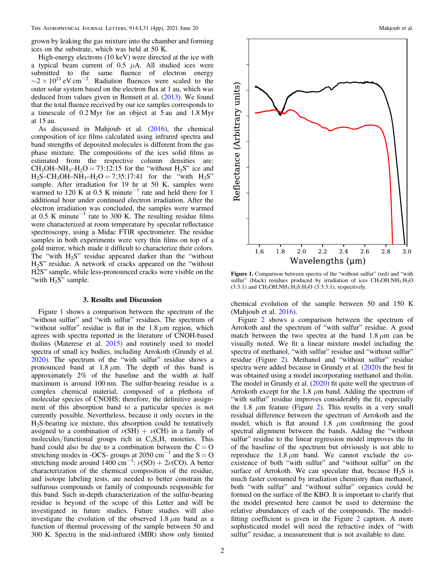grown by leaking the gas mixture into the chamber and forming ices on the substrate, which was held at 50 K.

High-energy electrons (10 keV) were directed at the ice with a typical beam current of 0.5  $\mu$ A. All studied ices were submitted to the same fluence of electron energy  $\sim$ 2 × 10<sup>21</sup> eV cm<sup>-2</sup>. Radiation fluences were scaled to the outer solar system based on the electron flux at 1 au, which was deduced from values given in Bennett et al. ([2013](#page-3-0)). We found that the total fluence received by our ice samples corresponds to a timescale of 0.2 Myr for an object at 5 au and 1.8 Myr at 15 au.

As discussed in Mahjoub et al. ([2016](#page-3-0)), the chemical composition of ice films calculated using infrared spectra and band strengths of deposited molecules is different from the gas phase mixture. The compositions of the ices solid films as estimated from the respective column densities are:  $CH_3OH-NH_3-H_2O = 73:12:15$  for the "without  $H_2S$ " ice and  $H_2S-CH_3OH-NH_3-H_2O = 7:35:17:41$  for the "with  $H_2S$ " sample. After irradiation for 19 hr at 50 K, samples were warmed to 120 K at 0.5 K minute<sup>-1</sup> rate and held there for 1 additional hour under continued electron irradiation. After the electron irradiation was concluded, the samples were warmed at 0.5 K minute<sup> $-1$ </sup> rate to 300 K. The resulting residue films were characterized at room temperature by specular reflectance spectroscopy, using a Midac FTIR spectrometer. The residue samples in both experiments were very thin films on top of a gold mirror, which made it difficult to characterize their colors. The "with  $H_2S$ " residue appeared darker than the "without" H2S" residue. A network of cracks appeared on the "without H2S" sample, while less-pronounced cracks were visible on the "with  $H_2S$ " sample.

### 3. Results and Discussion

Figure 1 shows a comparison between the spectrum of the "without sulfur" and "with sulfur" residues. The spectrum of "without sulfur" residue is flat in the  $1.8 \mu m$  region, which agrees with spectra reported in the literature of CNOH-based tholins (Materese et al. [2015](#page-3-0)) and routinely used to model spectra of small icy bodies, including Arrokoth (Grundy et al. [2020](#page-3-0)). The spectrum of the "with sulfur" residue shows a pronounced band at  $1.8 \mu$ m. The depth of this band is approximately 2% of the baseline and the width at half maximum is around 100 nm. The sulfur-bearing residue is a complex chemical material, composed of a plethora of molecular species of CNOHS; therefore, the definitive assignment of this absorption band to a particular species is not currently possible. Nevertheless, because it only occurs in the H2S-bearing ice mixture, this absorption could be tentatively assigned to a combination of  $\nu(SH) + \nu(CH)$  in a family of molecules/functional groups rich in  $C_xS_yH_z$  moieties. This band could also be due to a combination between the  $C = O$ stretching modes in -OCS- groups at 2050 cm<sup>-1</sup> and the S = O stretching mode around  $1400 \text{ cm}^{-1}$ :  $\nu(\text{SO}) + 2\nu(\text{CO})$ . A better characterization of the chemical composition of the residue, and isotope labeling tests, are needed to better constrain the sulfurous compounds or family of compounds responsible for this band. Such in-depth characterization of the sulfur-bearing residue is beyond of the scope of this Letter and will be investigated in future studies. Future studies will also investigate the evolution of the observed  $1.8 \mu m$  band as a function of thermal processing of the sample between 50 and 300 K. Spectra in the mid-infrared (MIR) show only limited



Figure 1. Comparison between spectra of the "without sulfur" (red) and "with sulfur" (black) residues produced by irradiation of ices CH<sub>3</sub>OH:NH<sub>3</sub>:H<sub>2</sub>O  $(3:3:1)$  and CH<sub>3</sub>OH:NH<sub>3</sub>:H<sub>2</sub>S:H<sub>2</sub>O (3:3:3:1), respectively.

chemical evolution of the sample between 50 and 150 K (Mahjoub et al. [2016](#page-3-0)).

Figure [2](#page-2-0) shows a comparison between the spectrum of Arrokoth and the spectrum of "with sulfur" residue. A good match between the two spectra at the band  $1.8 \mu m$  can be visually noted. We fit a linear mixture model including the spectra of methanol, "with sulfur" residue and "without sulfur" residue (Figure [2](#page-2-0)). Methanol and "without sulfur" residue spectra were added because in Grundy et al. ([2020](#page-3-0)) the best fit was obtained using a model incorporating methanol and tholin. The model in Grundy et al. ([2020](#page-3-0)) fit quite well the spectrum of Arrokoth except for the 1.8  $\mu$ m band. Adding the spectrum of "with sulfur" residue improves considerably the fit, especially the 1.8  $\mu$ m feature (Figure [2](#page-2-0)). This results in a very small residual difference between the spectrum of Arrokoth and the model, which is flat around 1.8  $\mu$ m confirming the good spectral alignment between the bands. Adding the "without sulfur" residue to the linear regression model improves the fit of the baseline of the spectrum but obviously is not able to reproduce the  $1.8 \mu m$  band. We cannot exclude the coexistence of both "with sulfur" and "without sulfur" on the surface of Arrokoth. We can speculate that, because  $H_2S$  is much faster consumed by irradiation chemistry than methanol, both "with sulfur" and "without sulfur" organics could be formed on the surface of the KBO. It is important to clarify that the model presented here cannot be used to determine the relative abundances of each of the compounds. The modelfitting coefficient is given in the Figure [2](#page-2-0) caption. A more sophisticated model will need the refractive index of "with sulfur" residue, a measurement that is not available to date.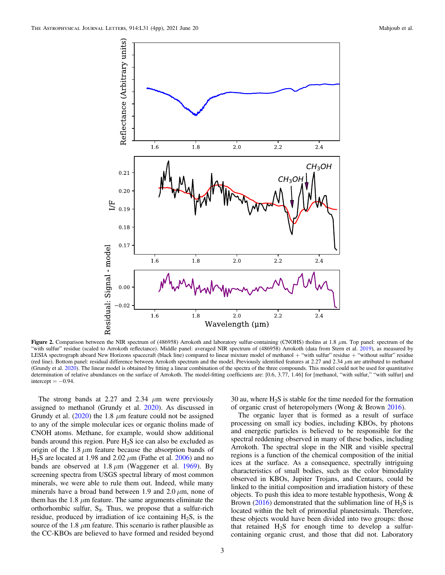<span id="page-2-0"></span>

Figure 2. Comparison between the NIR spectrum of (486958) Arrokoth and laboratory sulfur-containing (CNOHS) tholins at 1.8  $\mu$ m. Top panel: spectrum of the "with sulfur" residue (scaled to Arrokoth reflectance). Middle panel: averaged NIR spectrum of (486958) Arrokoth (data from Stern et al. [2019](#page-3-0)), as measured by LESIA spectrograph aboard New Horizons spacecraft (black line) compared to linear mixture model of methanol + "with sulfur" residue + "without sulfur" residue (red line). Bottom panel: residual difference between Arrokoth spectrum and the model. Previously identified features at 2.27 and 2.34 μm are attributed to methanol (Grundy et al. [2020](#page-3-0)). The linear model is obtained by fitting a linear combination of the spectra of the three compounds. This model could not be used for quantitative determination of relative abundances on the surface of Arrokoth. The model-fitting coefficients are: [0.6, 3.77, 1.46] for [methanol, "with sulfur," "with sulfur] and intercept  $= -0.94$ .

The strong bands at 2.27 and 2.34  $\mu$ m were previously assigned to methanol (Grundy et al. [2020](#page-3-0)). As discussed in Grundy et al.  $(2020)$  $(2020)$  $(2020)$  the 1.8  $\mu$ m feature could not be assigned to any of the simple molecular ices or organic tholins made of CNOH atoms. Methane, for example, would show additional bands around this region. Pure  $H_2S$  ice can also be excluded as origin of the 1.8  $\mu$ m feature because the absorption bands of H<sub>2</sub>S are located at 1.98 and 2.02  $\mu$ m (Fathe et al. [2006](#page-3-0)) and no bands are observed at  $1.8 \mu m$  (Waggener et al. [1969](#page-3-0)). By screening spectra from USGS spectral library of most common minerals, we were able to rule them out. Indeed, while many minerals have a broad band between 1.9 and 2.0  $\mu$ m, none of them has the 1.8  $\mu$ m feature. The same arguments eliminate the orthorhombic sulfur,  $S_8$ . Thus, we propose that a sulfur-rich residue, produced by irradiation of ice containing  $H_2S$ , is the source of the 1.8  $\mu$ m feature. This scenario is rather plausible as the CC-KBOs are believed to have formed and resided beyond 30 au, where  $H_2S$  is stable for the time needed for the formation of organic crust of heteropolymers (Wong & Brown [2016](#page-3-0)).

The organic layer that is formed as a result of surface processing on small icy bodies, including KBOs, by photons and energetic particles is believed to be responsible for the spectral reddening observed in many of these bodies, including Arrokoth. The spectral slope in the NIR and visible spectral regions is a function of the chemical composition of the initial ices at the surface. As a consequence, spectrally intriguing characteristics of small bodies, such as the color bimodality observed in KBOs, Jupiter Trojans, and Centaurs, could be linked to the initial composition and irradiation history of these objects. To push this idea to more testable hypothesis, Wong & Brown ([2016](#page-3-0)) demonstrated that the sublimation line of  $H_2S$  is located within the belt of primordial planetesimals. Therefore, these objects would have been divided into two groups: those that retained  $H_2S$  for enough time to develop a sulfurcontaining organic crust, and those that did not. Laboratory